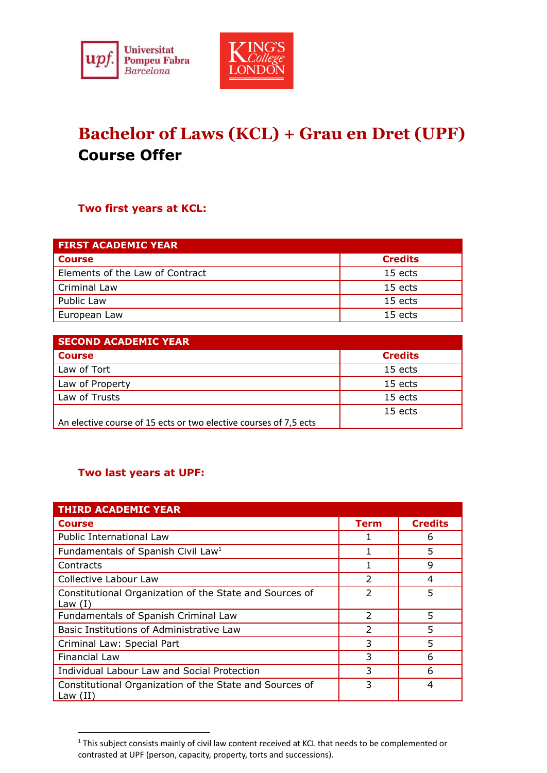



## **Bachelor of Laws (KCL) + Grau en Dret (UPF) Course Offer**

## **Two first years at KCL:**

| <b>FIRST ACADEMIC YEAR</b>      |                |  |  |
|---------------------------------|----------------|--|--|
| <b>Course</b>                   | <b>Credits</b> |  |  |
| Elements of the Law of Contract | 15 ects        |  |  |
| Criminal Law                    | 15 ects        |  |  |
| Public Law                      | 15 ects        |  |  |
| European Law                    | 15 ects        |  |  |

| <b>SECOND ACADEMIC YEAR</b>                                       |                |
|-------------------------------------------------------------------|----------------|
| <b>Course</b>                                                     | <b>Credits</b> |
| Law of Tort                                                       | 15 ects        |
| Law of Property                                                   | 15 ects        |
| Law of Trusts                                                     | 15 ects        |
|                                                                   | 15 ects        |
| An elective course of 15 ects or two elective courses of 7,5 ects |                |

## **Two last years at UPF:**

| <b>THIRD ACADEMIC YEAR</b>                                            |                |                |
|-----------------------------------------------------------------------|----------------|----------------|
| <b>Course</b>                                                         | Term           | <b>Credits</b> |
| Public International Law                                              |                | 6              |
| Fundamentals of Spanish Civil Law <sup>1</sup>                        |                | 5              |
| Contracts                                                             |                | 9              |
| Collective Labour Law                                                 | 2              | 4              |
| Constitutional Organization of the State and Sources of<br>Law $(I)$  | $\overline{2}$ | 5              |
| Fundamentals of Spanish Criminal Law                                  | $\mathcal{P}$  | 5              |
| Basic Institutions of Administrative Law                              | $\mathcal{P}$  | 5              |
| Criminal Law: Special Part                                            | 3              | 5              |
| <b>Financial Law</b>                                                  | 3              | 6              |
| Individual Labour Law and Social Protection                           | 3              | 6              |
| Constitutional Organization of the State and Sources of<br>Law $(II)$ | 3              | 4              |

<sup>&</sup>lt;sup>1</sup> This subject consists mainly of civil law content received at KCL that needs to be complemented or contrasted at UPF (person, capacity, property, torts and successions).